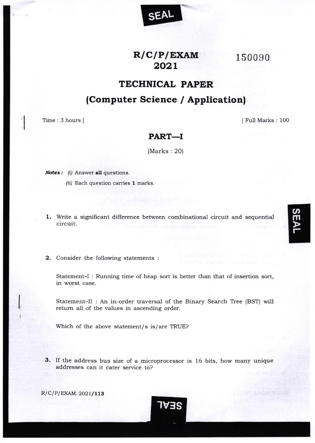## $R/C/P/EXAMPLE$ XAM 2021

**SEAL** 

150090

## **TECHNICAL PAPER**

(Computer Science / Application)

Time: 3 hours ]

[Full Marks: 100

## PART-I

 $(Marks: 20)$ 

**Notes:** (i) Answer all questions.

- (ii) Each question carries 1 marks.
- 1. Write a significant difference between combinational circuit and sequential circuit.
- 2. Consider the following statements :

Statement-I: Running time of heap sort is better than that of insertion sort, in worst case.

Statement-II : An in-order traversal of the Binary Search Tree (BST) will return all of the values in ascending order.

Which of the above statement/s is/are TRUE?

3. If the address bus size of a microprocessor is 16 bits, how many unique addresses can it cater service to?

IVES

R/C/P/EXAM. 2021/113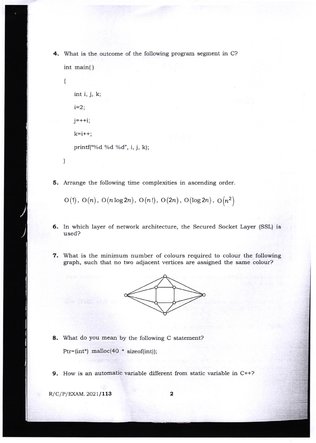4. What is the outcome of the following program segment in C? int main( )



5. Arrange the following time complexities in ascending order.

 $O(1)$ ,  $O(n)$ ,  $O(n \log 2n)$ ,  $O(n!)$ ,  $O(2n)$ ,  $O(\log 2n)$ ,  $O(n^2)$ 

- 6. In which layer of network architecture, the Secured Socket Layer (SSL) is used?
- 7. What is the minimum number of colours required to colour the following graph, such that no two adjacent vertices are assigned the same colour?



8. What do you mean by the following C statement?

 $Ptr=[int^*]$  malloc(40 \* sizeof(int));

9. How is an automatic variable different from static variable in C++?

 $R/C/P/EXAM.2021/113$  2

**)**<br>کو

)